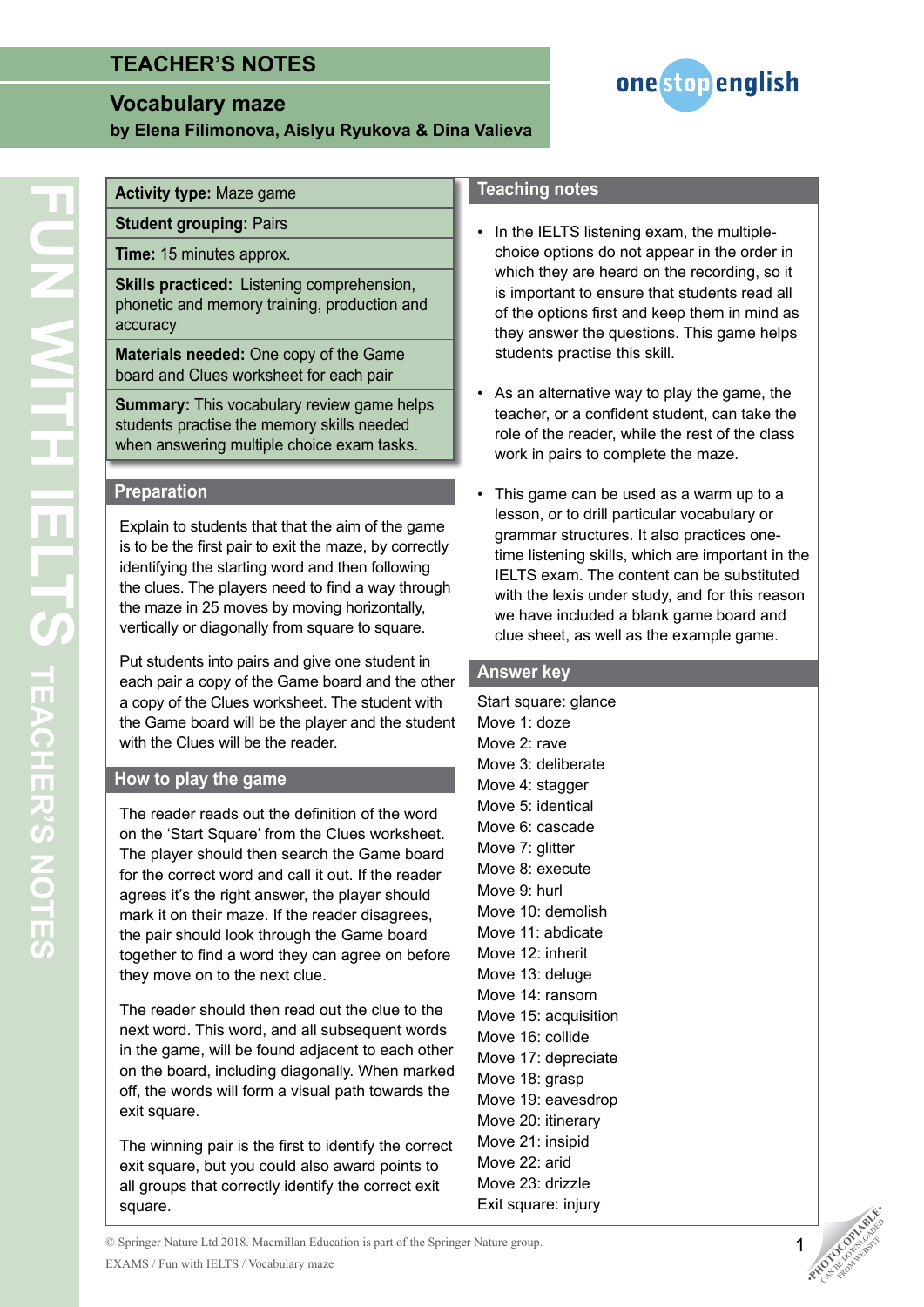# **TEACHER'S NOTES**

### **Vocabulary maze**

**by Elena Filimonova, Aislyu Ryukova & Dina Valieva**



### **Activity type:** Maze game

**Student grouping:** Pairs

**Time:** 15 minutes approx.

**Skills practiced:** Listening comprehension, phonetic and memory training, production and accuracy

**Materials needed:** One copy of the Game board and Clues worksheet for each pair

**Summary:** This vocabulary review game helps students practise the memory skills needed when answering multiple choice exam tasks.

#### **Preparation**

Explain to students that that the aim of the game is to be the first pair to exit the maze, by correctly identifying the starting word and then following the clues. The players need to find a way through the maze in 25 moves by moving horizontally, vertically or diagonally from square to square.

Put students into pairs and give one student in each pair a copy of the Game board and the other a copy of the Clues worksheet. The student with the Game board will be the player and the student with the Clues will be the reader.

#### **How to play the game**

The reader reads out the definition of the word on the 'Start Square' from the Clues worksheet. The player should then search the Game board for the correct word and call it out. If the reader agrees it's the right answer, the player should mark it on their maze. If the reader disagrees, the pair should look through the Game board together to find a word they can agree on before they move on to the next clue.

The reader should then read out the clue to the next word. This word, and all subsequent words in the game, will be found adjacent to each other on the board, including diagonally. When marked off, the words will form a visual path towards the exit square.

The winning pair is the first to identify the correct exit square, but you could also award points to all groups that correctly identify the correct exit square.

#### **Teaching notes**

- In the IELTS listening exam, the multiplechoice options do not appear in the order in which they are heard on the recording, so it is important to ensure that students read all of the options first and keep them in mind as they answer the questions. This game helps students practise this skill.
- As an alternative way to play the game, the teacher, or a confident student, can take the role of the reader, while the rest of the class work in pairs to complete the maze.
- This game can be used as a warm up to a lesson, or to drill particular vocabulary or grammar structures. It also practices onetime listening skills, which are important in the IELTS exam. The content can be substituted with the lexis under study, and for this reason we have included a blank game board and clue sheet, as well as the example game.

#### **Answer key**

Start square: glance Move 1: doze Move 2: rave Move 3: deliberate Move 4: stagger Move 5: identical Move 6: cascade Move 7: glitter Move 8: execute Move 9: hurl Move 10: demolish Move 11: abdicate Move 12: inherit Move 13: deluge Move 14: ransom Move 15: acquisition Move 16: collide Move 17: depreciate Move 18: grasp Move 19: eavesdrop Move 20: itinerary Move 21: insipid Move 22: arid Move 23: drizzle Exit square: injury

© Springer Nature Ltd 2018. Macmillan Education is part of the Springer Nature group. EXAMS / Fun with IELTS / Vocabulary maze



1

FROM WEBSITE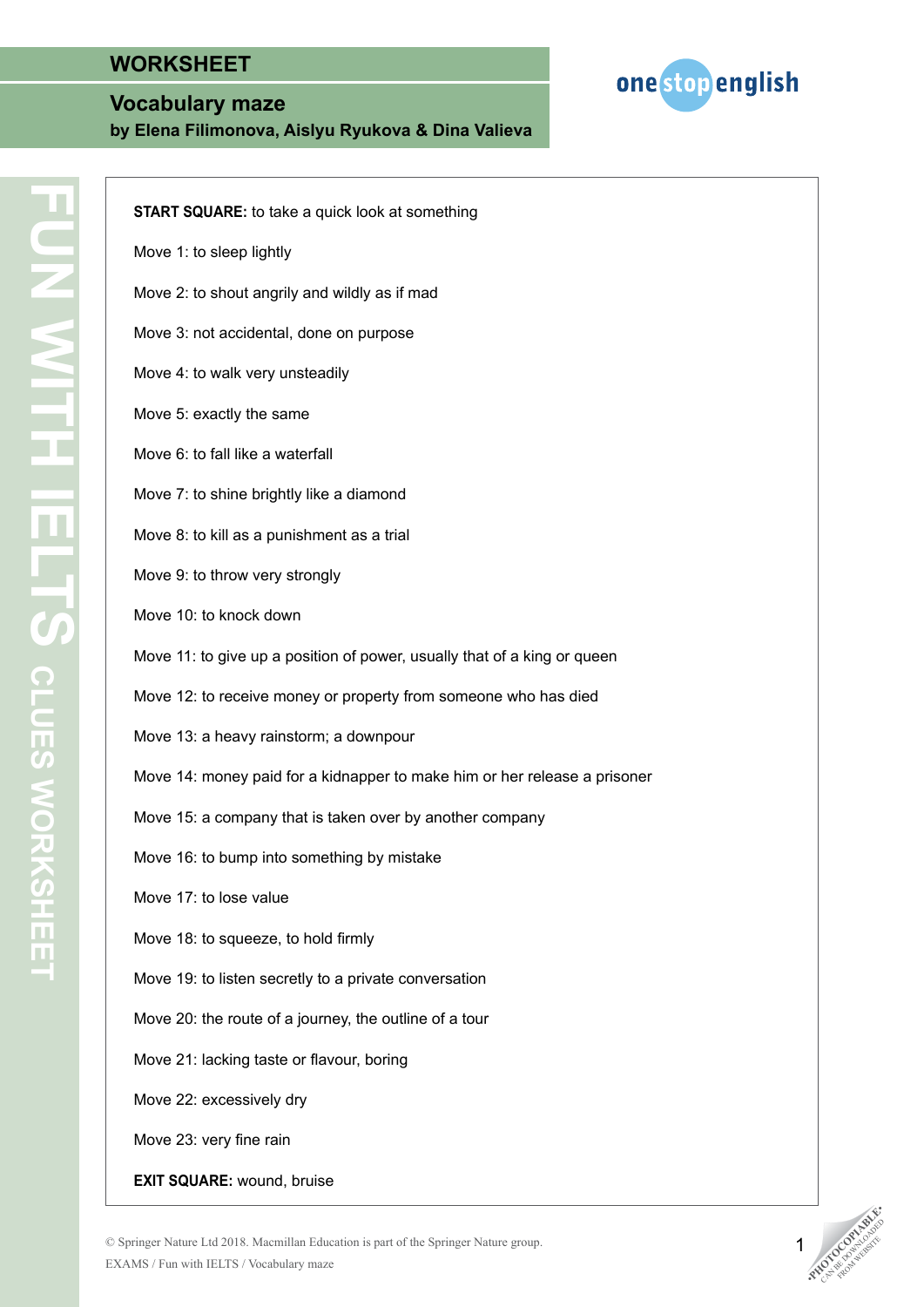### **Vocabulary maze**

**by Elena Filimonova, Aislyu Ryukova & Dina Valieva**



| <b>START SQUARE:</b> to take a quick look at something                    |
|---------------------------------------------------------------------------|
| Move 1: to sleep lightly                                                  |
| Move 2: to shout angrily and wildly as if mad                             |
| Move 3: not accidental, done on purpose                                   |
| Move 4: to walk very unsteadily                                           |
| Move 5: exactly the same                                                  |
| Move 6: to fall like a waterfall                                          |
| Move 7: to shine brightly like a diamond                                  |
| Move 8: to kill as a punishment as a trial                                |
| Move 9: to throw very strongly                                            |
| Move 10: to knock down                                                    |
| Move 11: to give up a position of power, usually that of a king or queen  |
| Move 12: to receive money or property from someone who has died           |
| Move 13: a heavy rainstorm; a downpour                                    |
| Move 14: money paid for a kidnapper to make him or her release a prisoner |
| Move 15: a company that is taken over by another company                  |
| Move 16: to bump into something by mistake                                |
| Move 17: to lose value                                                    |
| Move 18: to squeeze, to hold firmly                                       |
| Move 19: to listen secretly to a private conversation                     |
| Move 20: the route of a journey, the outline of a tour                    |
| Move 21: lacking taste or flavour, boring                                 |
| Move 22: excessively dry                                                  |
| Move 23: very fine rain                                                   |
|                                                                           |

**EXIT SQUARE:** wound, bruise





1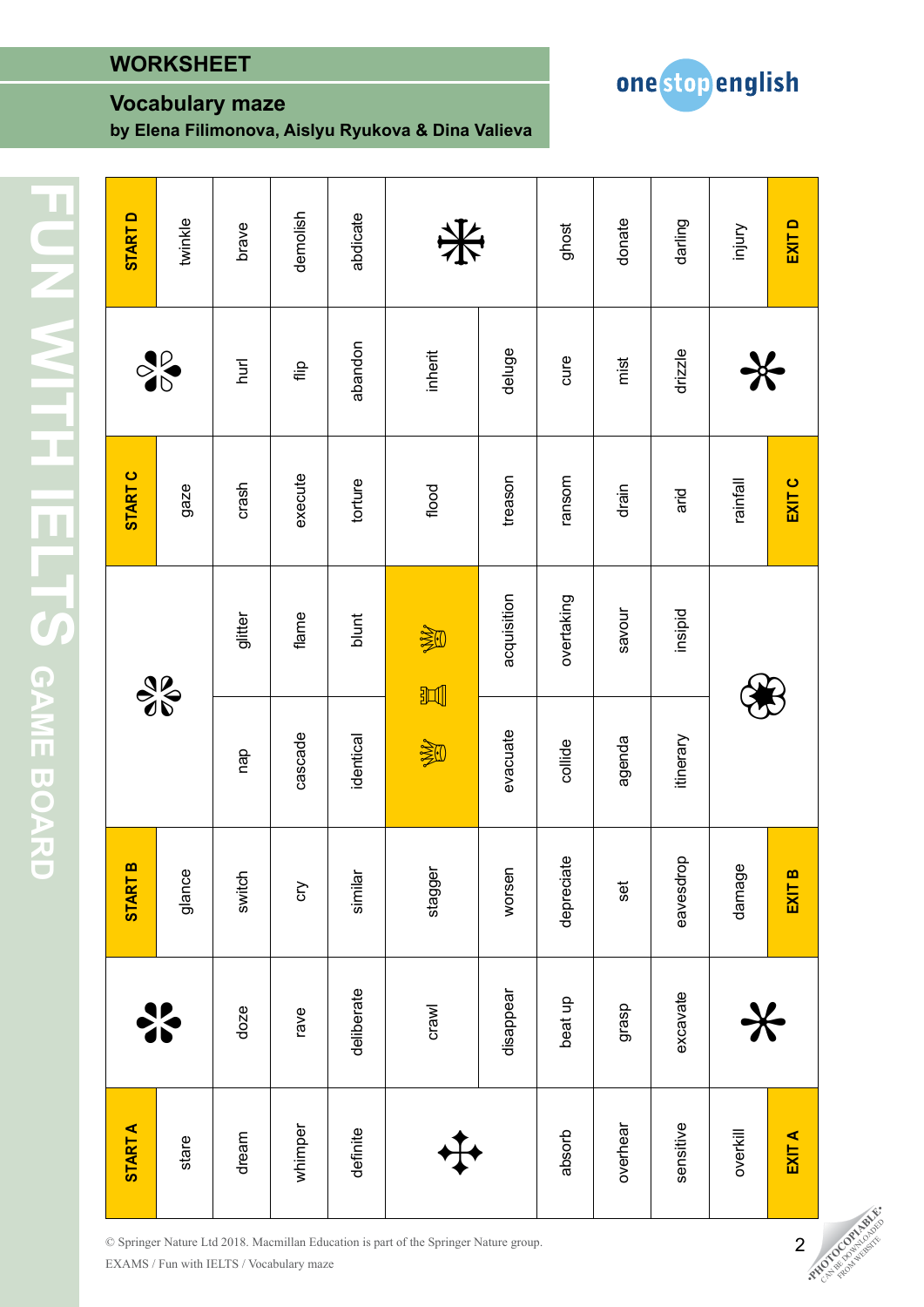## **Vocabulary maze**

**by Elena Filimonova, Aislyu Ryukova & Dina Valieva**



 $\Omega$ abdicate twinkle demolish whimper rave cry cast cry cast of the crystal condition over the crystal condition over the crystal condition darling **START A** START B START B START C START C START C START D<br>
stare **de** de gance glance gaze gaze  $\sigma$ definite deliberate similar identical blunt torture abandon abdicate donate **EXITD** brave **START** crawl stagger  $\begin{picture}(180,170)(0,0) \put(0,0){\vector(1,0){100}} \put(150,0){\vector(1,0){100}} \put(150,0){\vector(1,0){100}} \put(150,0){\vector(1,0){100}} \put(150,0){\vector(1,0){100}} \put(150,0){\vector(1,0){100}} \put(150,0){\vector(1,0){100}} \put(150,0){\vector(1,0){100}} \put(150,0){\vector(1,0){100}} \put(150,0){\vector($ ghost overhear grasp set agenda savour drain mist donate set also de savour drain mist donate donate de savour drain mist de la savour drain de savour de savour de la savour de la savour de la savour de la savour de la savour de sensitive excavate excavate excavate excavate excavate excavate excavate excavate excavate excavate excavate e injury 米 **EXIT A EXIT B EXIT C EXIT D**dream doze switch doze switch doze dream doze switch dream doze on the crash dream doze on the crash on the cr absorb absorb beat up depreciate overtaking over the dependence over the collider over the collider over the c overkill  $\ast$  damage except rainfall  $\ast$ abandon deluge drizzle inherit disappear worsen acquisition deluges deluges deluges del deluges del deluges del del del del del del del del d  $\frac{1}{2}$ hurl cure mist ╬ flip **START C** treason execute torture mosue EXIT C ainfall gaze  $rash$ flood  $d$ rain arid overtaking acquisition avour flame insipid glitter blunt 溪  $\frac{8}{6}$ 一 evacuate agenda itinerary cascade dentical collide 逢 qb depreciate dolpsave damage **START B** stagger glance switch worsen m similar ξ **isc** EXIT deliberate disappear beat up excavate dseuf ave  $3 - 2$  $10z$ e  $\ast$ **START A** sensitive definite overhear whimper overkill absorb EXIT A dream ✥stare

© Springer Nature Ltd 2018. Macmillan Education is part of the Springer Nature group. EXAMS / Fun with IELTS / Vocabulary maze



2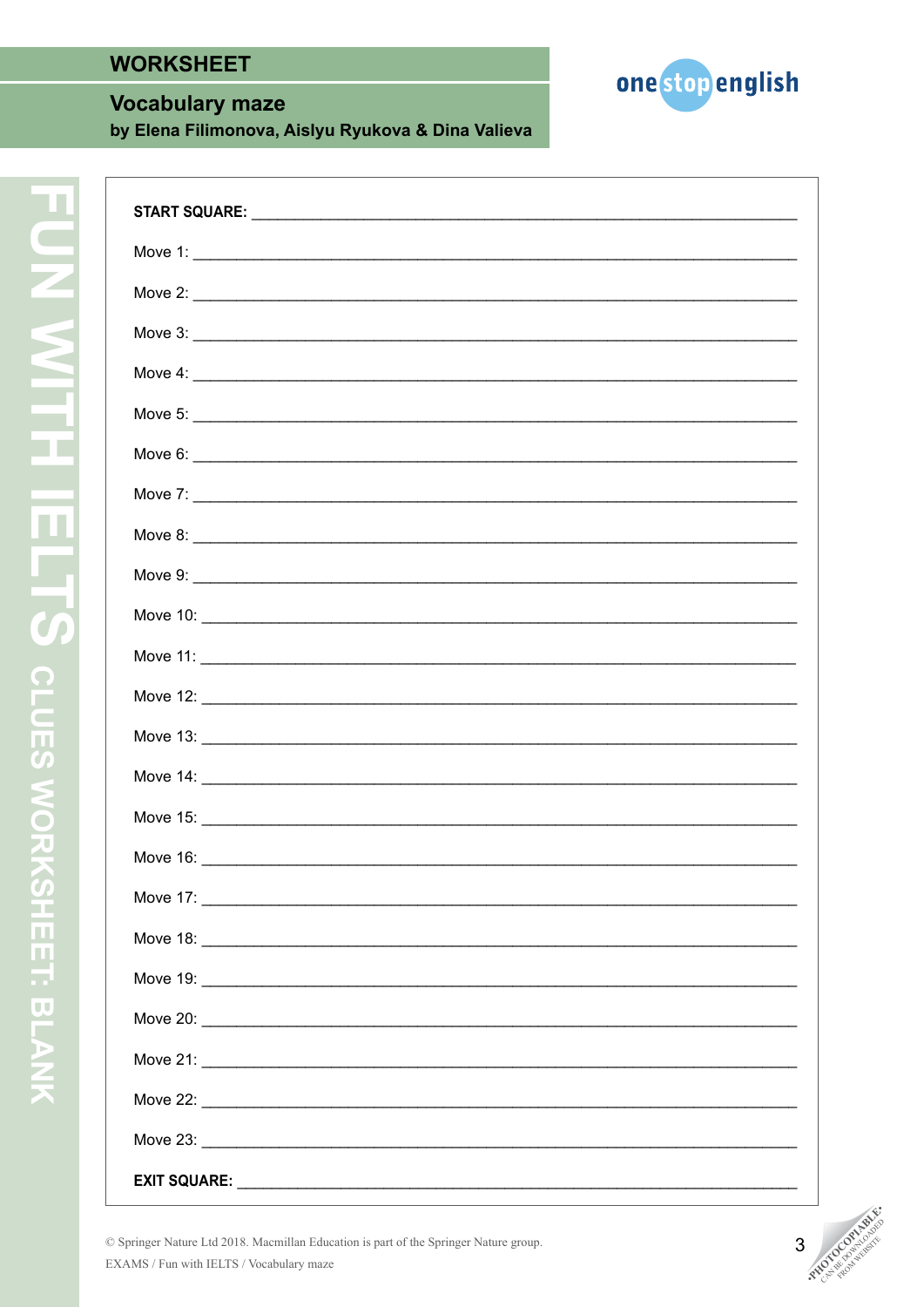### **Vocabulary maze**

by Elena Filimonova, Aislyu Ryukova & Dina Valieva



| Move 4: $\overline{\phantom{a}}$ |
|----------------------------------|
|                                  |
|                                  |
|                                  |
|                                  |
|                                  |
|                                  |
|                                  |
|                                  |
|                                  |
|                                  |
|                                  |
|                                  |
|                                  |
|                                  |
|                                  |
|                                  |
|                                  |
|                                  |
|                                  |
| <b>FXIT SOUARE:</b>              |

© Springer Nature Ltd 2018. Macmillan Education is part of the Springer Nature group. EXAMS / Fun with IELTS / Vocabulary maze